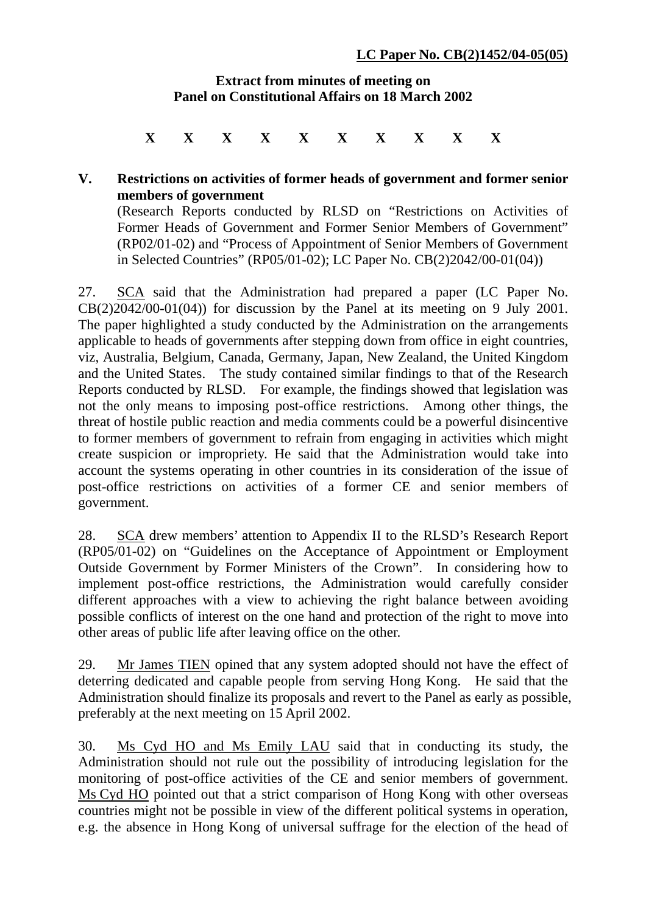## **Extract from minutes of meeting on Panel on Constitutional Affairs on 18 March 2002**

**X X X X X X X X X X**

## **V. Restrictions on activities of former heads of government and former senior members of government**

(Research Reports conducted by RLSD on "Restrictions on Activities of Former Heads of Government and Former Senior Members of Government" (RP02/01-02) and "Process of Appointment of Senior Members of Government in Selected Countries" (RP05/01-02); LC Paper No. CB(2)2042/00-01(04))

27. SCA said that the Administration had prepared a paper (LC Paper No.  $CB(2)2042/00-01(04)$  for discussion by the Panel at its meeting on 9 July 2001. The paper highlighted a study conducted by the Administration on the arrangements applicable to heads of governments after stepping down from office in eight countries, viz, Australia, Belgium, Canada, Germany, Japan, New Zealand, the United Kingdom and the United States. The study contained similar findings to that of the Research Reports conducted by RLSD. For example, the findings showed that legislation was not the only means to imposing post-office restrictions. Among other things, the threat of hostile public reaction and media comments could be a powerful disincentive to former members of government to refrain from engaging in activities which might create suspicion or impropriety. He said that the Administration would take into account the systems operating in other countries in its consideration of the issue of post-office restrictions on activities of a former CE and senior members of government.

28. SCA drew members' attention to Appendix II to the RLSD's Research Report (RP05/01-02) on "Guidelines on the Acceptance of Appointment or Employment Outside Government by Former Ministers of the Crown". In considering how to implement post-office restrictions, the Administration would carefully consider different approaches with a view to achieving the right balance between avoiding possible conflicts of interest on the one hand and protection of the right to move into other areas of public life after leaving office on the other.

29. Mr James TIEN opined that any system adopted should not have the effect of deterring dedicated and capable people from serving Hong Kong. He said that the Administration should finalize its proposals and revert to the Panel as early as possible, preferably at the next meeting on 15 April 2002.

30. Ms Cyd HO and Ms Emily LAU said that in conducting its study, the Administration should not rule out the possibility of introducing legislation for the monitoring of post-office activities of the CE and senior members of government. Ms Cyd HO pointed out that a strict comparison of Hong Kong with other overseas countries might not be possible in view of the different political systems in operation, e.g. the absence in Hong Kong of universal suffrage for the election of the head of